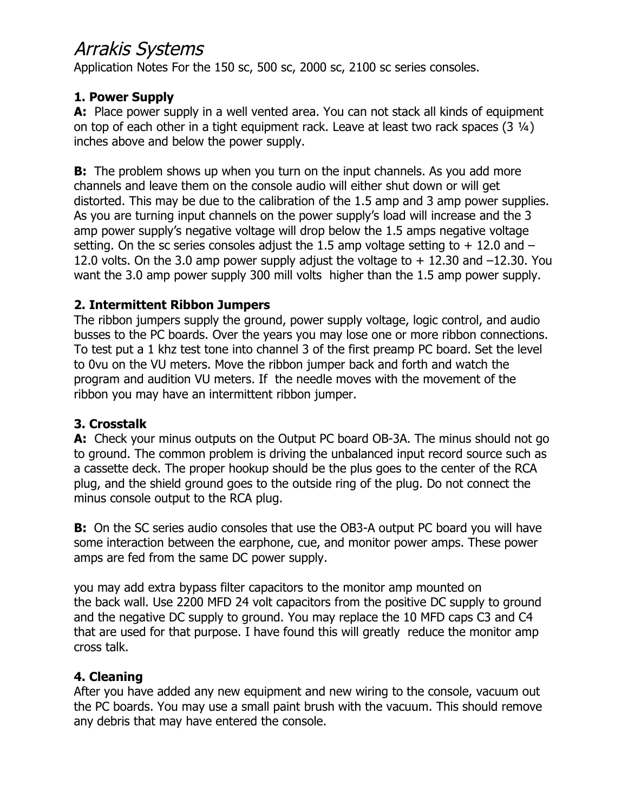# Arrakis Systems

Application Notes For the 150 sc, 500 sc, 2000 sc, 2100 sc series consoles.

## **1. Power Supply**

**A:** Place power supply in a well vented area. You can not stack all kinds of equipment on top of each other in a tight equipment rack. Leave at least two rack spaces (3 ¼) inches above and below the power supply.

**B:** The problem shows up when you turn on the input channels. As you add more channels and leave them on the console audio will either shut down or will get distorted. This may be due to the calibration of the 1.5 amp and 3 amp power supplies. As you are turning input channels on the power supply's load will increase and the 3 amp power supply's negative voltage will drop below the 1.5 amps negative voltage setting. On the sc series consoles adjust the 1.5 amp voltage setting to  $+$  12.0 and  $-$ 12.0 volts. On the 3.0 amp power supply adjust the voltage to  $+$  12.30 and  $-12.30$ . You want the 3.0 amp power supply 300 mill volts higher than the 1.5 amp power supply.

## **2. Intermittent Ribbon Jumpers**

The ribbon jumpers supply the ground, power supply voltage, logic control, and audio busses to the PC boards. Over the years you may lose one or more ribbon connections. To test put a 1 khz test tone into channel 3 of the first preamp PC board. Set the level to 0vu on the VU meters. Move the ribbon jumper back and forth and watch the program and audition VU meters. If the needle moves with the movement of the ribbon you may have an intermittent ribbon jumper.

## **3. Crosstalk**

**A:** Check your minus outputs on the Output PC board OB-3A. The minus should not go to ground. The common problem is driving the unbalanced input record source such as a cassette deck. The proper hookup should be the plus goes to the center of the RCA plug, and the shield ground goes to the outside ring of the plug. Do not connect the minus console output to the RCA plug.

**B:** On the SC series audio consoles that use the OB3-A output PC board you will have some interaction between the earphone, cue, and monitor power amps. These power amps are fed from the same DC power supply.

you may add extra bypass filter capacitors to the monitor amp mounted on the back wall. Use 2200 MFD 24 volt capacitors from the positive DC supply to ground and the negative DC supply to ground. You may replace the 10 MFD caps C3 and C4 that are used for that purpose. I have found this will greatly reduce the monitor amp cross talk.

#### **4. Cleaning**

After you have added any new equipment and new wiring to the console, vacuum out the PC boards. You may use a small paint brush with the vacuum. This should remove any debris that may have entered the console.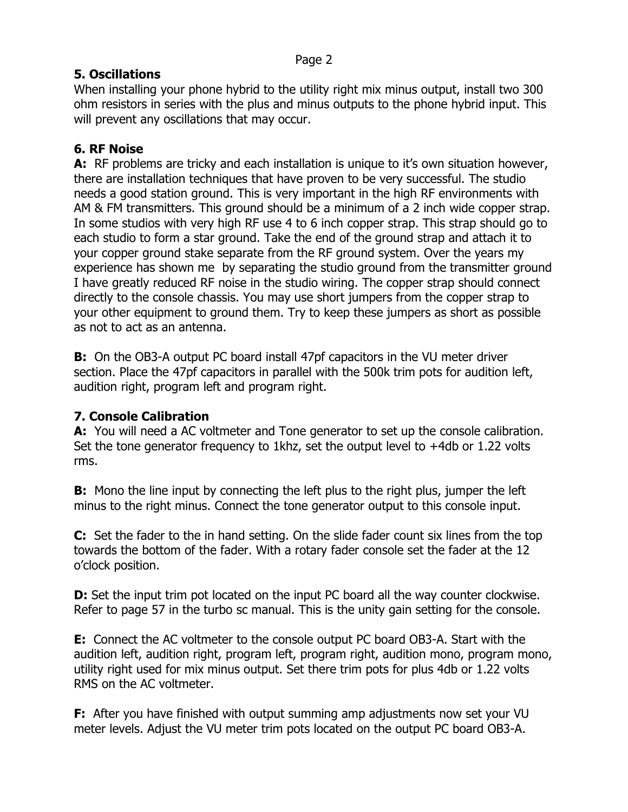# **5. Oscillations**

When installing your phone hybrid to the utility right mix minus output, install two 300 ohm resistors in series with the plus and minus outputs to the phone hybrid input. This will prevent any oscillations that may occur.

## **6. RF Noise**

**A:** RF problems are tricky and each installation is unique to it's own situation however, there are installation techniques that have proven to be very successful. The studio needs a good station ground. This is very important in the high RF environments with AM & FM transmitters. This ground should be a minimum of a 2 inch wide copper strap. In some studios with very high RF use 4 to 6 inch copper strap. This strap should go to each studio to form a star ground. Take the end of the ground strap and attach it to your copper ground stake separate from the RF ground system. Over the years my experience has shown me by separating the studio ground from the transmitter ground I have greatly reduced RF noise in the studio wiring. The copper strap should connect directly to the console chassis. You may use short jumpers from the copper strap to your other equipment to ground them. Try to keep these jumpers as short as possible as not to act as an antenna.

**B:** On the OB3-A output PC board install 47pf capacitors in the VU meter driver section. Place the 47pf capacitors in parallel with the 500k trim pots for audition left, audition right, program left and program right.

## **7. Console Calibration**

**A:** You will need a AC voltmeter and Tone generator to set up the console calibration. Set the tone generator frequency to 1khz, set the output level to +4db or 1.22 volts rms.

**B:** Mono the line input by connecting the left plus to the right plus, jumper the left minus to the right minus. Connect the tone generator output to this console input.

**C:** Set the fader to the in hand setting. On the slide fader count six lines from the top towards the bottom of the fader. With a rotary fader console set the fader at the 12 o'clock position.

**D:** Set the input trim pot located on the input PC board all the way counter clockwise. Refer to page 57 in the turbo sc manual. This is the unity gain setting for the console.

**E:** Connect the AC voltmeter to the console output PC board OB3-A. Start with the audition left, audition right, program left, program right, audition mono, program mono, utility right used for mix minus output. Set there trim pots for plus 4db or 1.22 volts RMS on the AC voltmeter.

**F:** After you have finished with output summing amp adjustments now set your VU meter levels. Adjust the VU meter trim pots located on the output PC board OB3-A.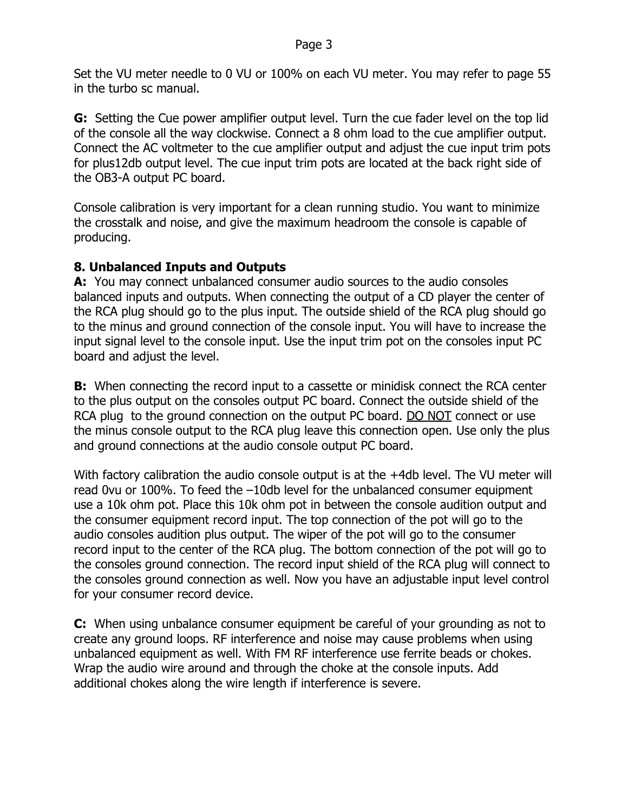Set the VU meter needle to 0 VU or 100% on each VU meter. You may refer to page 55 in the turbo sc manual.

**G:** Setting the Cue power amplifier output level. Turn the cue fader level on the top lid of the console all the way clockwise. Connect a 8 ohm load to the cue amplifier output. Connect the AC voltmeter to the cue amplifier output and adjust the cue input trim pots for plus12db output level. The cue input trim pots are located at the back right side of the OB3-A output PC board.

Console calibration is very important for a clean running studio. You want to minimize the crosstalk and noise, and give the maximum headroom the console is capable of producing.

#### **8. Unbalanced Inputs and Outputs**

**A:** You may connect unbalanced consumer audio sources to the audio consoles balanced inputs and outputs. When connecting the output of a CD player the center of the RCA plug should go to the plus input. The outside shield of the RCA plug should go to the minus and ground connection of the console input. You will have to increase the input signal level to the console input. Use the input trim pot on the consoles input PC board and adjust the level.

**B:** When connecting the record input to a cassette or minidisk connect the RCA center to the plus output on the consoles output PC board. Connect the outside shield of the RCA plug to the ground connection on the output PC board. DO NOT connect or use the minus console output to the RCA plug leave this connection open. Use only the plus and ground connections at the audio console output PC board.

With factory calibration the audio console output is at the +4db level. The VU meter will read 0vu or 100%. To feed the –10db level for the unbalanced consumer equipment use a 10k ohm pot. Place this 10k ohm pot in between the console audition output and the consumer equipment record input. The top connection of the pot will go to the audio consoles audition plus output. The wiper of the pot will go to the consumer record input to the center of the RCA plug. The bottom connection of the pot will go to the consoles ground connection. The record input shield of the RCA plug will connect to the consoles ground connection as well. Now you have an adjustable input level control for your consumer record device.

**C:** When using unbalance consumer equipment be careful of your grounding as not to create any ground loops. RF interference and noise may cause problems when using unbalanced equipment as well. With FM RF interference use ferrite beads or chokes. Wrap the audio wire around and through the choke at the console inputs. Add additional chokes along the wire length if interference is severe.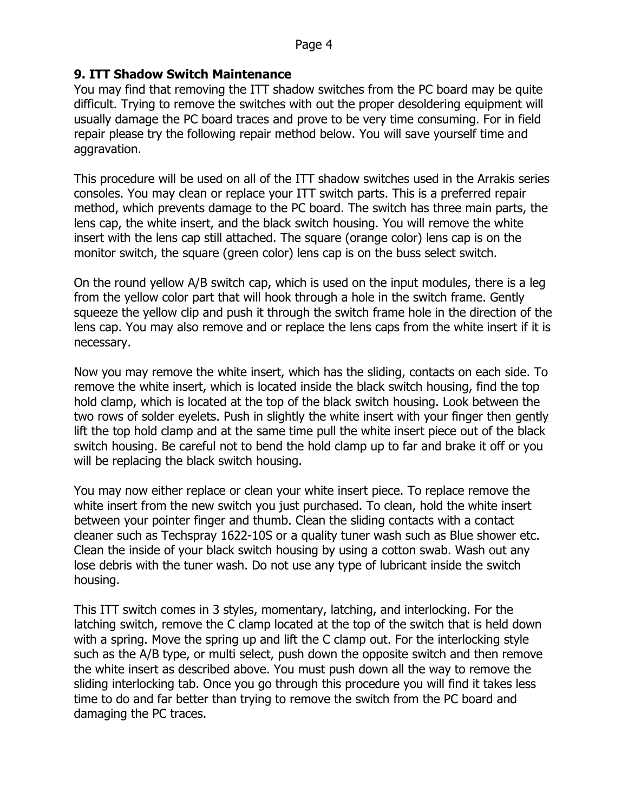#### **9. ITT Shadow Switch Maintenance**

You may find that removing the ITT shadow switches from the PC board may be quite difficult. Trying to remove the switches with out the proper desoldering equipment will usually damage the PC board traces and prove to be very time consuming. For in field repair please try the following repair method below. You will save yourself time and aggravation.

This procedure will be used on all of the ITT shadow switches used in the Arrakis series consoles. You may clean or replace your ITT switch parts. This is a preferred repair method, which prevents damage to the PC board. The switch has three main parts, the lens cap, the white insert, and the black switch housing. You will remove the white insert with the lens cap still attached. The square (orange color) lens cap is on the monitor switch, the square (green color) lens cap is on the buss select switch.

On the round yellow A/B switch cap, which is used on the input modules, there is a leg from the yellow color part that will hook through a hole in the switch frame. Gently squeeze the yellow clip and push it through the switch frame hole in the direction of the lens cap. You may also remove and or replace the lens caps from the white insert if it is necessary.

Now you may remove the white insert, which has the sliding, contacts on each side. To remove the white insert, which is located inside the black switch housing, find the top hold clamp, which is located at the top of the black switch housing. Look between the two rows of solder eyelets. Push in slightly the white insert with your finger then gently lift the top hold clamp and at the same time pull the white insert piece out of the black switch housing. Be careful not to bend the hold clamp up to far and brake it off or you will be replacing the black switch housing.

You may now either replace or clean your white insert piece. To replace remove the white insert from the new switch you just purchased. To clean, hold the white insert between your pointer finger and thumb. Clean the sliding contacts with a contact cleaner such as Techspray 1622-10S or a quality tuner wash such as Blue shower etc. Clean the inside of your black switch housing by using a cotton swab. Wash out any lose debris with the tuner wash. Do not use any type of lubricant inside the switch housing.

This ITT switch comes in 3 styles, momentary, latching, and interlocking. For the latching switch, remove the C clamp located at the top of the switch that is held down with a spring. Move the spring up and lift the C clamp out. For the interlocking style such as the A/B type, or multi select, push down the opposite switch and then remove the white insert as described above. You must push down all the way to remove the sliding interlocking tab. Once you go through this procedure you will find it takes less time to do and far better than trying to remove the switch from the PC board and damaging the PC traces.